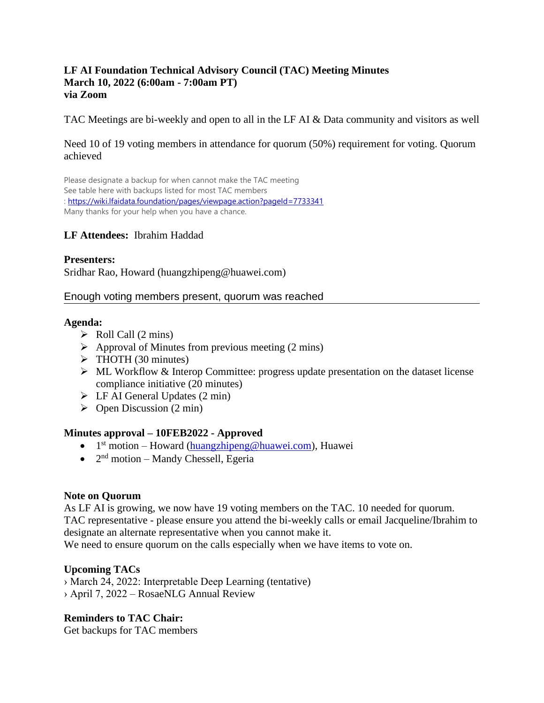#### **LF AI Foundation Technical Advisory Council (TAC) Meeting Minutes March 10, 2022 (6:00am - 7:00am PT) via Zoom**

TAC Meetings are bi-weekly and open to all in the LF AI & Data community and visitors as well

#### Need 10 of 19 voting members in attendance for quorum (50%) requirement for voting. Quorum achieved

Please designate a backup for when cannot make the TAC meeting See table here with backups listed for most TAC members :<https://wiki.lfaidata.foundation/pages/viewpage.action?pageId=7733341> Many thanks for your help when you have a chance.

## **LF Attendees:** Ibrahim Haddad

#### **Presenters:**

Sridhar Rao, Howard (huangzhipeng@huawei.com)

#### Enough voting members present, quorum was reached

#### **Agenda:**

- $\triangleright$  Roll Call (2 mins)
- $\triangleright$  Approval of Minutes from previous meeting (2 mins)
- ➢ THOTH (30 minutes)
- ➢ ML Workflow & Interop Committee: progress update presentation on the dataset license compliance initiative (20 minutes)
- $\triangleright$  LF AI General Updates (2 min)
- $\triangleright$  Open Discussion (2 min)

## **Minutes approval – 10FEB2022 - Approved**

- $\bullet$  1<sup>st</sup> motion Howard [\(huangzhipeng@huawei.com\)](mailto:huangzhipeng@huawei.com), Huawei
- $\bullet$   $2<sup>nd</sup>$  motion Mandy Chessell, Egeria

## **Note on Quorum**

As LF AI is growing, we now have 19 voting members on the TAC. 10 needed for quorum. TAC representative - please ensure you attend the bi-weekly calls or email Jacqueline/Ibrahim to designate an alternate representative when you cannot make it.

We need to ensure quorum on the calls especially when we have items to vote on.

## **Upcoming TACs**

› March 24, 2022: Interpretable Deep Learning (tentative) › April 7, 2022 – RosaeNLG Annual Review

**Reminders to TAC Chair:** Get backups for TAC members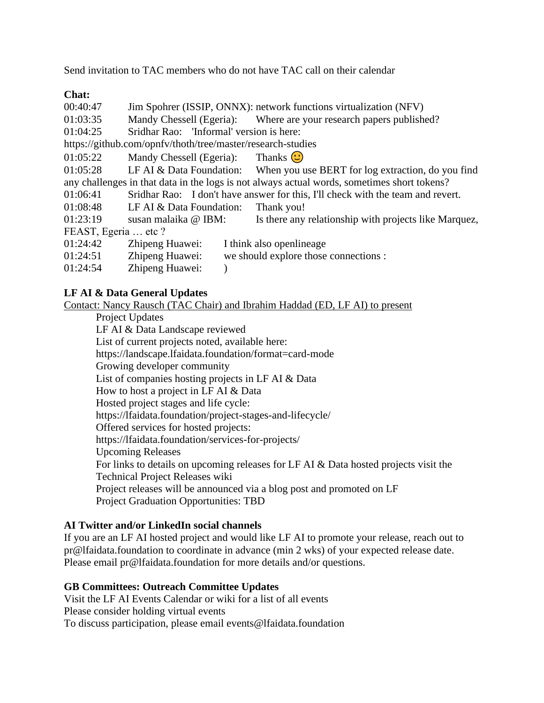Send invitation to TAC members who do not have TAC call on their calendar

## **Chat:**

| 00:40:47                                                                                    | Jim Spohrer (ISSIP, ONNX): network functions virtualization (NFV)               |                                                                            |
|---------------------------------------------------------------------------------------------|---------------------------------------------------------------------------------|----------------------------------------------------------------------------|
| 01:03:35                                                                                    |                                                                                 | Mandy Chessell (Egeria): Where are your research papers published?         |
| 01:04:25                                                                                    | Sridhar Rao: 'Informal' version is here:                                        |                                                                            |
| https://github.com/opnfv/thoth/tree/master/research-studies                                 |                                                                                 |                                                                            |
| 01:05:22                                                                                    | Mandy Chessell (Egeria): Thanks $\bigcirc$                                      |                                                                            |
| 01:05:28                                                                                    |                                                                                 | LF AI & Data Foundation: When you use BERT for log extraction, do you find |
| any challenges in that data in the logs is not always actual words, sometimes short tokens? |                                                                                 |                                                                            |
| 01:06:41                                                                                    | Sridhar Rao: I don't have answer for this, I'll check with the team and revert. |                                                                            |
| 01:08:48                                                                                    | LF AI & Data Foundation:                                                        | Thank you!                                                                 |
| 01:23:19                                                                                    | susan malaika @ IBM:                                                            | Is there any relationship with projects like Marquez,                      |
| FEAST, Egeria  etc?                                                                         |                                                                                 |                                                                            |
| 01:24:42                                                                                    | Zhipeng Huawei:                                                                 | I think also openlineage                                                   |
| 01:24:51                                                                                    | Zhipeng Huawei:                                                                 | we should explore those connections :                                      |
| 01:24:54                                                                                    | Zhipeng Huawei:                                                                 |                                                                            |

## **LF AI & Data General Updates**

Contact: Nancy Rausch (TAC Chair) and Ibrahim Haddad (ED, LF AI) to present

Project Updates LF AI & Data Landscape reviewed List of current projects noted, available here: https://landscape.lfaidata.foundation/format=card-mode Growing developer community List of companies hosting projects in LF AI & Data How to host a project in LF AI & Data Hosted project stages and life cycle: https://lfaidata.foundation/project-stages-and-lifecycle/ Offered services for hosted projects: https://lfaidata.foundation/services-for-projects/ Upcoming Releases For links to details on upcoming releases for LF AI & Data hosted projects visit the Technical Project Releases wiki Project releases will be announced via a blog post and promoted on LF Project Graduation Opportunities: TBD

#### **AI Twitter and/or LinkedIn social channels**

If you are an LF AI hosted project and would like LF AI to promote your release, reach out to pr@lfaidata.foundation to coordinate in advance (min 2 wks) of your expected release date. Please email pr@lfaidata.foundation for more details and/or questions.

#### **GB Committees: Outreach Committee Updates**

Visit the LF AI Events Calendar or wiki for a list of all events Please consider holding virtual events To discuss participation, please email events@lfaidata.foundation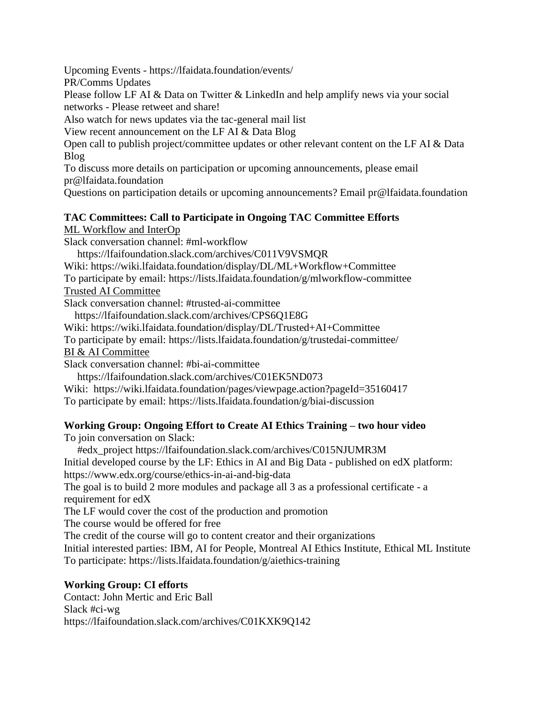Upcoming Events - https://lfaidata.foundation/events/

PR/Comms Updates

Please follow LF AI & Data on Twitter & LinkedIn and help amplify news via your social networks - Please retweet and share!

Also watch for news updates via the tac-general mail list

View recent announcement on the LF AI & Data Blog

Open call to publish project/committee updates or other relevant content on the LF AI & Data Blog

To discuss more details on participation or upcoming announcements, please email pr@lfaidata.foundation

Questions on participation details or upcoming announcements? Email pr@lfaidata.foundation

# **TAC Committees: Call to Participate in Ongoing TAC Committee Efforts**

ML Workflow and InterOp

Slack conversation channel: #ml-workflow

https://lfaifoundation.slack.com/archives/C011V9VSMQR

Wiki: https://wiki.lfaidata.foundation/display/DL/ML+Workflow+Committee

To participate by email: https://lists.lfaidata.foundation/g/mlworkflow-committee Trusted AI Committee

Slack conversation channel: #trusted-ai-committee

https://lfaifoundation.slack.com/archives/CPS6Q1E8G

Wiki: https://wiki.lfaidata.foundation/display/DL/Trusted+AI+Committee

To participate by email: https://lists.lfaidata.foundation/g/trustedai-committee/

BI & AI Committee

Slack conversation channel: #bi-ai-committee

https://lfaifoundation.slack.com/archives/C01EK5ND073

Wiki: https://wiki.lfaidata.foundation/pages/viewpage.action?pageId=35160417

To participate by email: https://lists.lfaidata.foundation/g/biai-discussion

# **Working Group: Ongoing Effort to Create AI Ethics Training – two hour video**

To join conversation on Slack:

#edx\_project https://lfaifoundation.slack.com/archives/C015NJUMR3M

Initial developed course by the LF: Ethics in AI and Big Data - published on edX platform: https://www.edx.org/course/ethics-in-ai-and-big-data

The goal is to build 2 more modules and package all 3 as a professional certificate - a requirement for edX

The LF would cover the cost of the production and promotion

The course would be offered for free

The credit of the course will go to content creator and their organizations

Initial interested parties: IBM, AI for People, Montreal AI Ethics Institute, Ethical ML Institute To participate: https://lists.lfaidata.foundation/g/aiethics-training

# **Working Group: CI efforts**

Contact: John Mertic and Eric Ball Slack #ci-wg https://lfaifoundation.slack.com/archives/C01KXK9Q142